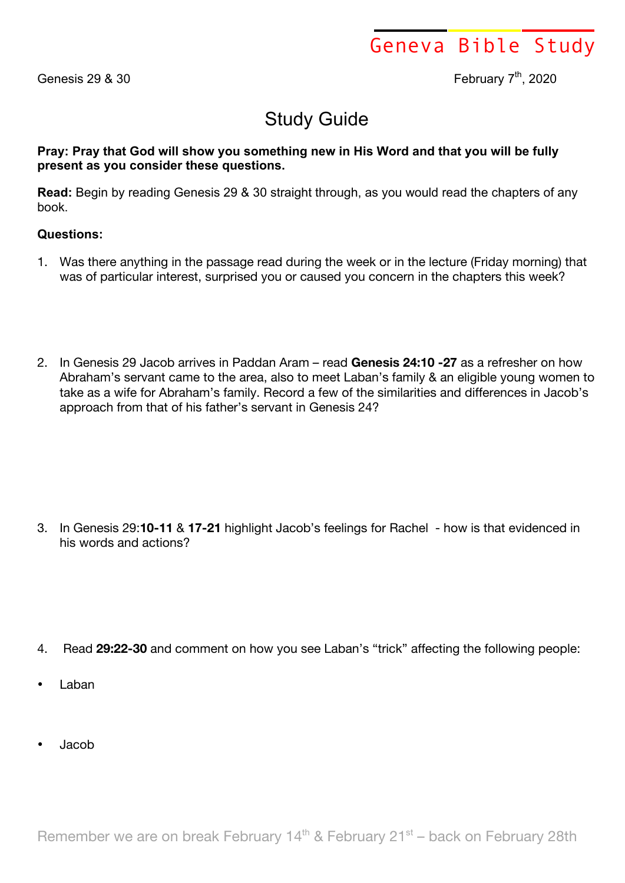Geneva Bible Study

Genesis 29  $\&$  30  $\qquad$   $\qquad$   $\qquad$   $\qquad$   $\qquad$   $\qquad$   $\qquad$   $\qquad$   $\qquad$   $\qquad$   $\qquad$   $\qquad$   $\qquad$   $\qquad$   $\qquad$   $\qquad$   $\qquad$   $\qquad$   $\qquad$   $\qquad$   $\qquad$   $\qquad$   $\qquad$   $\qquad$   $\qquad$   $\qquad$   $\qquad$   $\qquad$   $\qquad$   $\qquad$   $\qquad$   $\qquad$   $\qquad$   $\qquad$ 

## Study Guide

**Pray: Pray that God will show you something new in His Word and that you will be fully present as you consider these questions.**

**Read:** Begin by reading Genesis 29 & 30 straight through, as you would read the chapters of any book.

## **Questions:**

- 1. Was there anything in the passage read during the week or in the lecture (Friday morning) that was of particular interest, surprised you or caused you concern in the chapters this week?
- 2. In Genesis 29 Jacob arrives in Paddan Aram read **Genesis 24:10 -27** as a refresher on how Abraham's servant came to the area, also to meet Laban's family & an eligible young women to take as a wife for Abraham's family. Record a few of the similarities and differences in Jacob's approach from that of his father's servant in Genesis 24?

3. In Genesis 29:**10-11** & **17-21** highlight Jacob's feelings for Rachel - how is that evidenced in his words and actions?

- 4. Read **29:22-30** and comment on how you see Laban's "trick" affecting the following people:
- Laban
- Jacob